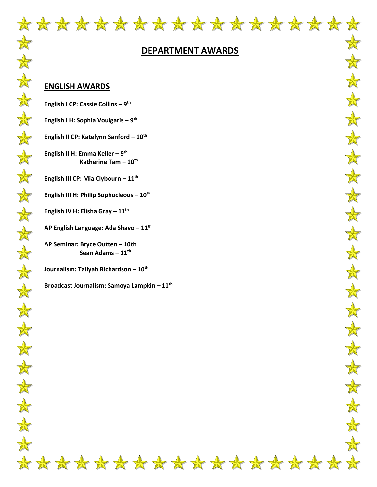

#### **DEPARTMENT AWARDS**

#### **ENGLISH AWARDS**

 $\frac{1}{N}$ 

 $\bigstar$ 

 $\frac{1}{N}$ 

安

 $\frac{1}{\sqrt{2}}$ 

 $\frac{1}{\sqrt{2}}$ 

 $\bigstar$ 

 $\frac{1}{N}$ 

\*

 $\color{red} \bigstar$ 

 $\frac{1}{N}$ 

 $\frac{1}{\sqrt{2}}$ 

 $\frac{1}{N}$ 

 $\frac{1}{N}$ 

 $\frac{1}{N}$ 

 $\frac{1}{N}$ 

 $\frac{1}{N}$ 

 $\frac{1}{\sqrt{2}}$ 

 $\frac{1}{N}$ 

 $\frac{1}{N}$ 

 $\frac{1}{N}$ 

**English I CP: Cassie Collins – 9 th**

- **English I H: Sophia Voulgaris – 9 th**
- **English II CP: Katelynn Sanford – 10th**
- **English II H: Emma Keller – 9 th Katherine Tam – 10th**
- **English III CP: Mia Clybourn – 11th**
- **English III H: Philip Sophocleous – 10th**
- **English IV H: Elisha Gray – 11th**
- **AP English Language: Ada Shavo – 11th**
- **AP Seminar: Bryce Outten – 10th Sean Adams – 11th**
- **Journalism: Taliyah Richardson – 10th**
- **Broadcast Journalism: Samoya Lampkin – 11th**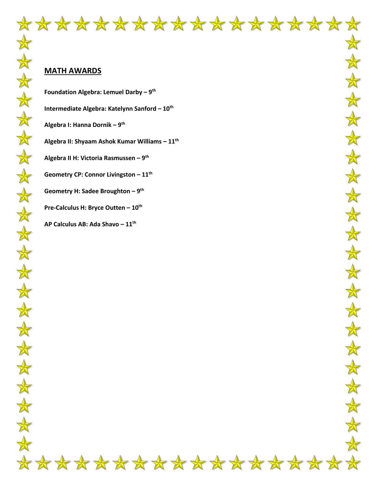### **MATH AWARDS**

**Foundation Algebra: Lemuel Darby – 9 th Intermediate Algebra: Katelynn Sanford – 10th Algebra I: Hanna Dornik – 9 th Algebra II: Shyaam Ashok Kumar Williams – 11th Algebra II H: Victoria Rasmussen – 9 th Geometry CP: Connor Livingston – 11th Geometry H: Sadee Broughton – 9 th Pre-Calculus H: Bryce Outten – 10th AP Calculus AB: Ada Shavo – 11th**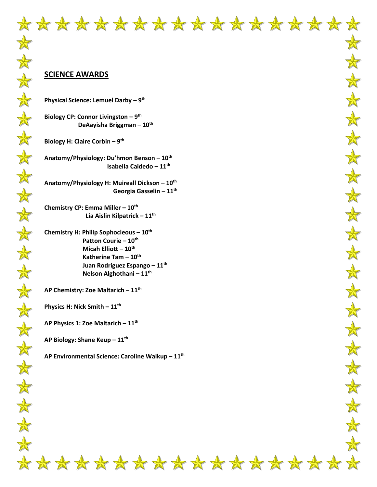#### **SCIENCE AWARDS**

**Physical Science: Lemuel Darby – 9 th**

**Biology CP: Connor Livingston – 9 th DeAayisha Briggman – 10th**

**Biology H: Claire Corbin – 9 th**

**Anatomy/Physiology: Du'hmon Benson – 10th Isabella Caidedo – 11th**

**Anatomy/Physiology H: Muireall Dickson – 10th Georgia Gasselin – 11th**

**Chemistry CP: Emma Miller – 10th Lia Aislin Kilpatrick – 11th**

**Chemistry H: Philip Sophocleous – 10th Patton Courie – 10th Micah Elliott – 10th Katherine Tam – 10th Juan Rodriguez Espango – 11th Nelson Alghothani – 11th**

**AP Chemistry: Zoe Maltarich – 11th**

**Physics H: Nick Smith – 11th**

**AP Physics 1: Zoe Maltarich – 11th**

**AP Biology: Shane Keup – 11th**

**AP Environmental Science: Caroline Walkup – 11th**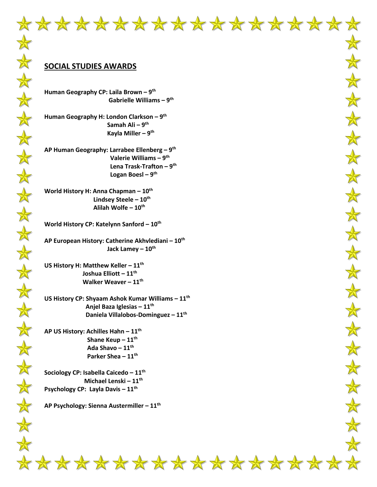#### **SOCIAL STUDIES AWARDS**

**Human Geography CP: Laila Brown – 9 th Gabrielle Williams – 9 th** 

**Human Geography H: London Clarkson – 9 th Samah Ali – 9 th Kayla Miller – 9 th**

**AP Human Geography: Larrabee Ellenberg – 9 th Valerie Williams – 9 th Lena Trask-Trafton – 9 th Logan Boesl – 9 th**

**World History H: Anna Chapman – 10th Lindsey Steele – 10th Alilah Wolfe – 10th**

**World History CP: Katelynn Sanford – 10th**

**AP European History: Catherine Akhvlediani – 10th Jack Lamey – 10th**

**US History H: Matthew Keller – 11th Joshua Elliott – 11th Walker Weaver – 11th**

**US History CP: Shyaam Ashok Kumar Williams – 11th Anjel Baza Iglesias – 11th Daniela Villalobos-Dominguez – 11th**

**AP US History: Achilles Hahn – 11th Shane Keup – 11th Ada Shavo – 11th Parker Shea – 11th**

**Sociology CP: Isabella Caicedo – 11th Michael Lenski – 11th Psychology CP: Layla Davis – 11th**

**AP Psychology: Sienna Austermiller – 11th**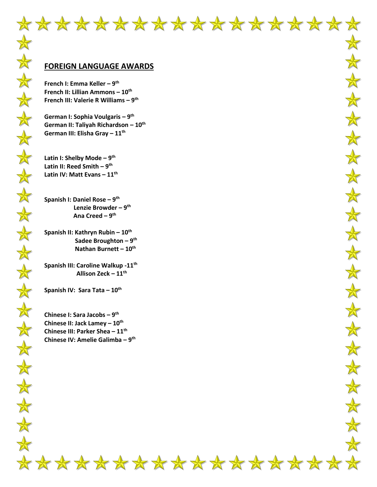#### **FOREIGN LANGUAGE AWARDS**

**French I: Emma Keller – 9 th French II: Lillian Ammons – 10th French III: Valerie R Williams – 9 th**

**German I: Sophia Voulgaris – 9 th German II: Taliyah Richardson – 10th German III: Elisha Gray – 11th**

**Latin I: Shelby Mode – 9 th Latin II: Reed Smith – 9 th Latin IV: Matt Evans – 11th**

**Spanish I: Daniel Rose – 9 th Lenzie Browder – 9 th Ana Creed – 9 th**

**Spanish II: Kathryn Rubin – 10th Sadee Broughton – 9 th Nathan Burnett – 10th**

**Spanish III: Caroline Walkup -11th Allison Zeck – 11th**

**Spanish IV: Sara Tata – 10th**

**Chinese I: Sara Jacobs – 9 th Chinese II: Jack Lamey – 10th Chinese III: Parker Shea – 11th Chinese IV: Amelie Galimba – 9 th**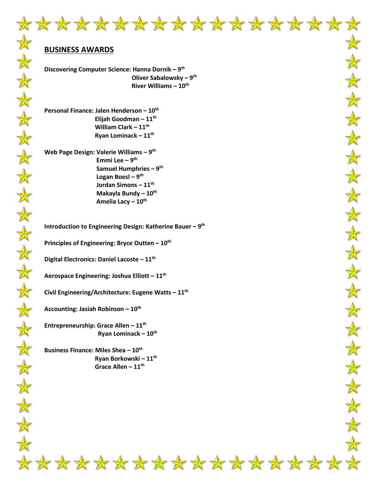## **BUSINESS AWARDS**

本本

大女女

 $\frac{1}{\sqrt{2}}$ 

 $\frac{1}{N}$ 

 $\color{red} \bigstar$ 

大

\*\*\*\*

 $\frac{1}{N}$ 

 $\frac{1}{N}$ 

 $\color{red} \bigstar$ 

 $\frac{1}{\sqrt{2}}$ 

 $\frac{\lambda}{N}$ 

 $\frac{1}{N}$ 

 $\frac{1}{\sqrt{2}}$ 

 $\frac{1}{N}$ 

 $\frac{1}{N}$ 

**Discovering Computer Science: Hanna Dornik – 9 th Oliver Sabalowsky – 9 th River Williams – 10th**

**Personal Finance: Jalen Henderson – 10th Elijah Goodman – 11th William Clark – 11th Ryan Lominack – 11th**

**Web Page Design: Valerie Williams – 9 th Emmi Lee – 9 th Samuel Humphries – 9 th Logan Boesl – 9 th Jordan Simons – 11th Makayla Bundy – 10th Amelia Lacy – 10th**

**Introduction to Engineering Design: Katherine Bauer – 9 th**

**Principles of Engineering: Bryce Outten – 10th**

**Digital Electronics: Daniel Lacoste – 11th**

**Aerospace Engineering: Joshua Elliott – 11th**

**Civil Engineering/Architecture: Eugene Watts – 11th**

**Accounting: Jasiah Robinson – 10th**

**Entrepreneurship: Grace Allen – 11th Ryan Lominack – 10th**

**Business Finance: Miles Shea – 10th Ryan Borkowski – 11th Grace Allen – 11th**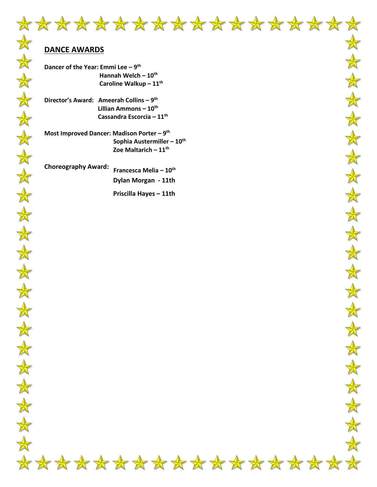

 $\frac{1}{\sqrt{2}}$ 

 $\frac{1}{\sqrt{2}}$ 

 $\bigstar$ 

 $\frac{1}{N}$ 

 $\frac{1}{\sqrt{2}}$ 

 $\frac{1}{2}$ 

 $\bigstar$ 

 $\frac{\lambda}{N}$ 

 $\frac{1}{N}$ 

 $\frac{\Lambda}{\Lambda}$ 

 $\bigstar$ 

 $\frac{\lambda}{N}$ 

 $\mathbb A$ 

 $\color{red} \bigstar$ 

## **DANCE AWARDS**

- **Dancer of the Year: Emmi Lee – 9 th Hannah Welch – 10th Caroline Walkup – 11th**
- **Director's Award: Ameerah Collins – 9 th Lillian Ammons – 10th Cassandra Escorcia – 11th**
- **Most Improved Dancer: Madison Porter – 9 th Sophia Austermiller – 10th Zoe Maltarich – 11th**

**Choreography Award: Francesca Melia – 10th Dylan Morgan - 11th** 

 **Priscilla Hayes – 11th**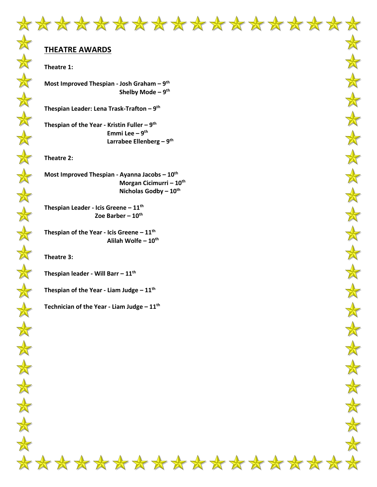## **THEATRE AWARDS**

#### **Theatre 1:**

**Most Improved Thespian - Josh Graham – 9 th Shelby Mode – 9 th**

**Thespian Leader: Lena Trask-Trafton – 9 th**

**Thespian of the Year - Kristin Fuller – 9 th Emmi Lee – 9 th Larrabee Ellenberg – 9 th**

**Theatre 2:**

**Most Improved Thespian - Ayanna Jacobs – 10th Morgan Cicimurri – 10th Nicholas Godby – 10th**

**Thespian Leader - Icis Greene – 11th Zoe Barber – 10th**

**Thespian of the Year - Icis Greene – 11th Alilah Wolfe – 10th**

**Theatre 3:**

**Thespian leader - Will Barr – 11th**

**Thespian of the Year - Liam Judge – 11th**

**Technician of the Year - Liam Judge – 11th**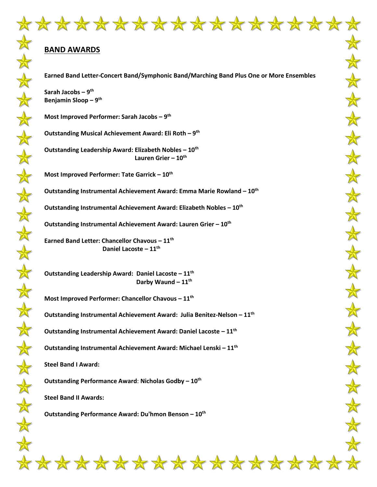#### **BAND AWARDS**

**Earned Band Letter-Concert Band/Symphonic Band/Marching Band Plus One or More Ensembles** 

**Sarah Jacobs – 9 th Benjamin Sloop – 9 th**

**Most Improved Performer: Sarah Jacobs – 9 th**

**Outstanding Musical Achievement Award: Eli Roth – 9 th**

**Outstanding Leadership Award: Elizabeth Nobles – 10th Lauren Grier – 10th**

**Most Improved Performer: Tate Garrick – 10th**

**Outstanding Instrumental Achievement Award: Emma Marie Rowland – 10th**

**Outstanding Instrumental Achievement Award: Elizabeth Nobles – 10th**

**Outstanding Instrumental Achievement Award: Lauren Grier – 10th**

**Earned Band Letter: Chancellor Chavous – 11th Daniel Lacoste – 11th**

**Outstanding Leadership Award: Daniel Lacoste – 11th Darby Waund – 11th**

**Most Improved Performer: Chancellor Chavous – 11 th**

**Outstanding Instrumental Achievement Award: Julia Benitez-Nelson – 11th**

**Outstanding Instrumental Achievement Award: Daniel Lacoste – 11th**

**Outstanding Instrumental Achievement Award: Michael Lenski – 11th**

**Steel Band I Award:**

**Outstanding Performance Award**: **Nicholas Godby – 10th**

**Steel Band II Awards:**

**Outstanding Performance Award: Du'hmon Benson – 10th**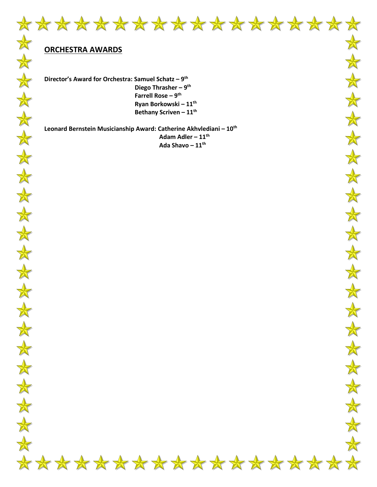

 $\bigstar$ 

 $\color{red} \bigstar$ 

 $\bigstar$ 

 $\frac{1}{N}$ 

 $\frac{1}{\sqrt{2}}$ 

 $\frac{1}{\sqrt{2}}$ 

 $\frac{1}{N}$ 

 $\bigstar$ 

\*

 $\frac{1}{N}$ 

 $\bigstar$ 

 $\frac{1}{N}$ 

 $\frac{1}{N}$ 

 $\frac{1}{N}$ 

 $\color{red} \bigstar$ 

## **ORCHESTRA AWARDS**

**Director's Award for Orchestra: Samuel Schatz – 9 th Diego Thrasher – 9<sup>th</sup> Farrell Rose – 9 th Ryan Borkowski – 11th Bethany Scriven – 11th**

**Leonard Bernstein Musicianship Award: Catherine Akhvlediani – 10th Adam Adler – 11th Ada Shavo – 11th**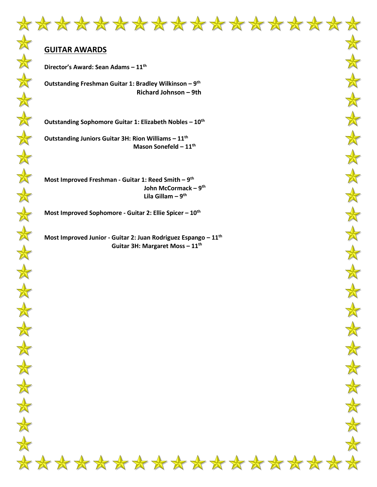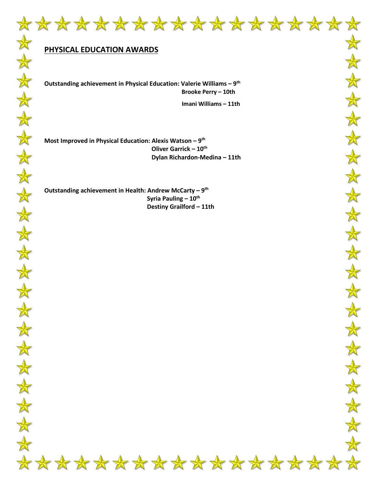# **PHYSICAL EDUCATION AWARDS**

**Outstanding achievement in Physical Education: Valerie Williams – 9 th Brooke Perry – 10th**

 **Imani Williams – 11th**

**Most Improved in Physical Education: Alexis Watson – 9 th Oliver Garrick – 10th Dylan Richardon-Medina – 11th** 

**Outstanding achievement in Health: Andrew McCarty – 9 th Syria Pauling – 10th Destiny Grailford – 11th**